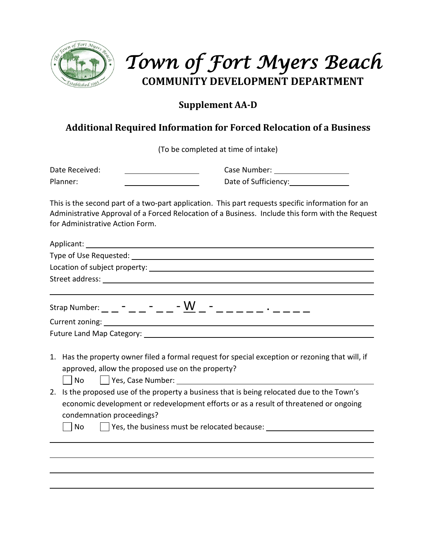

# *Town of Fort Myers Beach* **COMMUNITY DEVELOPMENT DEPARTMENT**

### **Supplement AA-D**

## **Additional Required Information for Forced Relocation of a Business**

(To be completed at time of intake)

Date Received: Case Number: Planner: Date of Sufficiency:

This is the second part of a two-part application. This part requests specific information for an Administrative Approval of a Forced Relocation of a Business. Include this form with the Request for Administrative Action Form.

|    | Strap Number: _ _ _ - _ _ - _ _ - <u>W</u> _ - _ _ _ _ _ _ . _ _ _ _                             |  |  |  |  |
|----|--------------------------------------------------------------------------------------------------|--|--|--|--|
|    |                                                                                                  |  |  |  |  |
|    |                                                                                                  |  |  |  |  |
|    |                                                                                                  |  |  |  |  |
|    | 1. Has the property owner filed a formal request for special exception or rezoning that will, if |  |  |  |  |
|    | approved, allow the proposed use on the property?                                                |  |  |  |  |
|    | No                                                                                               |  |  |  |  |
| 2. | Is the proposed use of the property a business that is being relocated due to the Town's         |  |  |  |  |
|    | economic development or redevelopment efforts or as a result of threatened or ongoing            |  |  |  |  |
|    | condemnation proceedings?                                                                        |  |  |  |  |
|    | No   Yes, the business must be relocated because: ______________________________                 |  |  |  |  |
|    |                                                                                                  |  |  |  |  |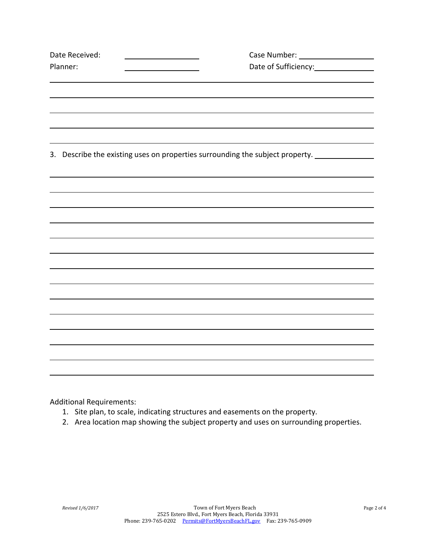| Date Received: |                                                                               |  |
|----------------|-------------------------------------------------------------------------------|--|
| Planner:       |                                                                               |  |
|                |                                                                               |  |
|                |                                                                               |  |
|                |                                                                               |  |
|                |                                                                               |  |
|                |                                                                               |  |
|                | 3. Describe the existing uses on properties surrounding the subject property. |  |
|                |                                                                               |  |
|                |                                                                               |  |
|                |                                                                               |  |
|                |                                                                               |  |
|                |                                                                               |  |
|                |                                                                               |  |
|                |                                                                               |  |
|                |                                                                               |  |
|                |                                                                               |  |
|                |                                                                               |  |
|                |                                                                               |  |
|                |                                                                               |  |
|                |                                                                               |  |
|                |                                                                               |  |
|                |                                                                               |  |

Additional Requirements:

- 1. Site plan, to scale, indicating structures and easements on the property.
- 2. Area location map showing the subject property and uses on surrounding properties.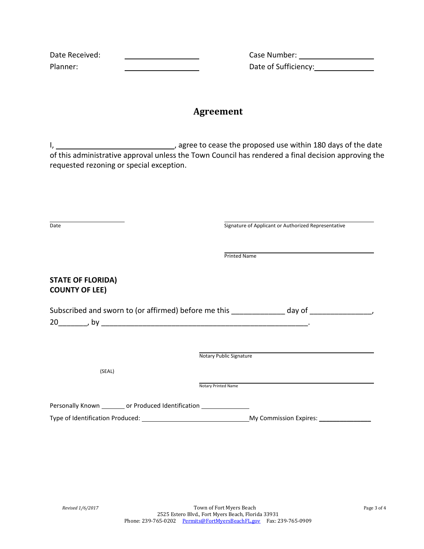| Date Received: |  |
|----------------|--|
| Planner:       |  |

Date Received: Case Number: Date of Sufficiency: Date of Sufficiency:

#### **Agreement**

I, , agree to cease the proposed use within 180 days of the date of this administrative approval unless the Town Council has rendered a final decision approving the requested rezoning or special exception.

| Date                                                                       | Signature of Applicant or Authorized Representative                                     |
|----------------------------------------------------------------------------|-----------------------------------------------------------------------------------------|
|                                                                            |                                                                                         |
|                                                                            | <b>Printed Name</b>                                                                     |
| <b>STATE OF FLORIDA)</b><br><b>COUNTY OF LEE)</b>                          |                                                                                         |
|                                                                            | Subscribed and sworn to (or affirmed) before me this ____________ day of ______________ |
|                                                                            |                                                                                         |
|                                                                            |                                                                                         |
|                                                                            | Notary Public Signature                                                                 |
| (SEAL)                                                                     |                                                                                         |
|                                                                            | Notary Printed Name                                                                     |
| Personally Known _________ or Produced Identification ____________________ |                                                                                         |
|                                                                            |                                                                                         |